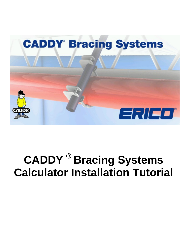

# **CADDY ® Bracing Systems Calculator Installation Tutorial**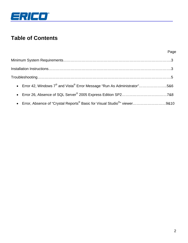

# **Table of Contents**

|                                                                                                          | Page |
|----------------------------------------------------------------------------------------------------------|------|
|                                                                                                          |      |
|                                                                                                          |      |
|                                                                                                          |      |
| • Error 42, Windows $7^{\circledast}$ and Vista $^{\circledast}$ Error Message "Run As Administrator"5&6 |      |
|                                                                                                          |      |
| • Error, Absence of "Crystal Reports <sup>®</sup> Basic for Visual Studio <sup>®</sup> " viewer9&10      |      |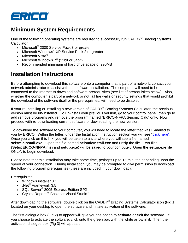

## **Minimum System Requirements**

One of the following operating systems are required to successfully run CADDY<sup>®</sup> Bracing Systems Calculator:

- Microsoft® 2000 Service Pack 3 or greater
- Microsoft Windows® XP Service Pack 2 or greater
- Microsoft Vista $^{\circledR}$
- Microsoft Windows  $7^{\circ}$  (32bit or 64bit)
- Recommended minimum of hard drive space of 290MB

## **Installation Instructions**

Before attempting to download this software onto a computer that is part of a network, contact your network administrator to assist with the software installation. The computer will need to be connected to the Internet to download software prerequisites (see list of prerequisites below). Also, whether the computer is part of a network or not, all fire walls or security settings that would prohibit the download of the software itself or the prerequisites, will need to be disabled.

If your re-installing or installing a new version of CADDY<sup>®</sup> Bracing Systems Calculator, the previous version must be un-installed. To un-install your previous version, go to your control panel, then go to add remove programs and remove the program named "ERICO-NFPA Seismic Calc" only. Now, proceed with re-downloading current software or downloading the new version.

To download the software to your computer, you will need to locate the letter that was E-mailed to you by ERICO. Within the letter, under the Installation Instruction section you will see "click here". Once you click on this link, you will be taken to a site where you will see a file named **seismicInstall.exe**. Open the file named **seismicInstall.exe** and unzip the file. Two files (**SetupERICO-NFPA.msi** and **setup.exe**) will be saved to your computer. Open the **setup.exe** file ONLY, to begin download.

Please note that this installation may take some time, perhaps up to 15 minutes depending upon the speed of your connection. During installation, you may be prompted to give permission to download the following program prerequisites (these are included in your download):

Prerequisites:

- Windows installer 3.1
- .Net<sup>®</sup> Framework 3.5
- SQL Server<sup>®</sup> 2005 Express Edition SP2
- $\bullet$   $\;$  Crystal Reports $^\circledast$  Basic for Visual Studio $^\circledast$

After downloading the software, double click on the CADDY® Bracing Systems Calculator icon (Fig 1) located on your desktop to open the software and initiate activation of the software.

The first dialogue box (Fig 2) to appear will give you the option to **activate** or **exit** the software. If you choose to activate the software, click onto the green box with the white arrow in it. Then the activation dialogue box (Fig 3) will appear.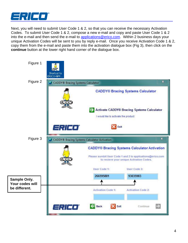

Next, you will need to submit User Code 1 & 2, so that you can receive the necessary Activation Codes. To submit User Code 1 & 2, compose a new e-mail and copy and paste User Code 1 & 2 into the e-mail and then send the e-mail to applications@erico.com. Within 2 business days your unique Activation Codes will be sent to you by reply e-mail. Once you receive Activation Code 1 & 2, copy them from the e-mail and paste them into the activation dialogue box (Fig 3), then click on the **continue** button at the lower right hand corner of the dialogue box.

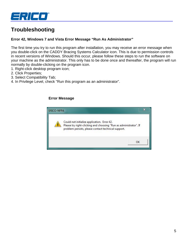

# **Troubleshooting**

#### **Error 42, Windows 7 and Vista Error Message "Run As Administrator"**

The first time you try to run this program after installation, you may receive an error message when you double-click on the CADDY Bracing Systems Calculator icon. This is due to permission controls in recent versions of Windows. Should this occur, please follow these steps to run the software on your machine as the administrator. This only has to be done once and thereafter, the program will run normally by double-clicking on the program icon.

- 1. Right-click desktop program icon;
- 2. Click Properties;
- 3. Select Compatibility Tab;
- 4. In Privilege Level, check "Run this program as an administrator".

#### **Error Message**

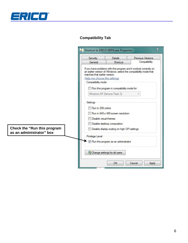

## **Compatibility Tab**

|                                        | x<br>Shortcut to ERICO-NFPA.exe Properties              |                                              |                                                                                                                                        |  |
|----------------------------------------|---------------------------------------------------------|----------------------------------------------|----------------------------------------------------------------------------------------------------------------------------------------|--|
|                                        | Security                                                | <b>Details</b>                               | Previous Versions                                                                                                                      |  |
|                                        | General                                                 | Shortcut                                     | Compatibility                                                                                                                          |  |
|                                        | matches that earlier version.                           |                                              | If you have problems with this program and it worked correctly on<br>an earlier version of Windows, select the compatibility mode that |  |
|                                        | Help me choose the settings<br>Compatibility mode       |                                              |                                                                                                                                        |  |
|                                        |                                                         |                                              |                                                                                                                                        |  |
|                                        | Windows XP (Service Pack 3)                             |                                              |                                                                                                                                        |  |
|                                        | Settings                                                |                                              |                                                                                                                                        |  |
|                                        | Run in 256 colors                                       |                                              |                                                                                                                                        |  |
|                                        | Run in 640 x 480 screen resolution                      |                                              |                                                                                                                                        |  |
|                                        | Disable visual themes                                   |                                              |                                                                                                                                        |  |
|                                        | Disable desktop composition                             |                                              |                                                                                                                                        |  |
|                                        | Check the "Run this program<br>as an administrator" box | Disable display scaling on high DPI settings |                                                                                                                                        |  |
| Privilege Level                        |                                                         |                                              |                                                                                                                                        |  |
| V Run this program as an administrator |                                                         |                                              |                                                                                                                                        |  |
| Change settings for all users          |                                                         |                                              |                                                                                                                                        |  |
|                                        |                                                         | OK                                           | Cancel<br>Apply                                                                                                                        |  |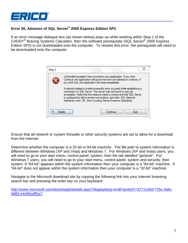

## **Error 26, Absence of SQL Server® 2005 Express Edition SP2**

If an error message dialogue box (as shown below) pops up while working within Step 1 of the CADDY® Bracing Systems Calculator, then the software prerequisite (SQL Server® 2005 Express Edition SP2) is not downloaded onto the computer. To resolve this error, the prerequisite will need to be downloaded onto the computer.



Ensure that all network or system firewalls or other security systems are set to allow for a download from the Internet.

Determine whether the computer is a 32-bit or 64-bit machine. The file path to system information is different between Windows (XP and Vista) and Windows 7. For Windows (XP and Vista) users, you will need to go to your start menu, control panel, system, then the tab labelled "general". For Windows 7 users, you will need to go to your start menu, control panel, system and security, then system. If "64-bit" appears within the system information then your computer is a "64-bit" machine. If "64-bit" does not appear within the system information then your computer is a "32-bit" machine.

Navigate to the Microsoft download site by copying the following link into your Internet browsing search bar and pressing the enter key on your keyboard.

http://www.microsoft.com/downloads/details.aspx?displaylang=en&FamilyID=31711d5d-725c-4afa-9d65-e4465cdff1e7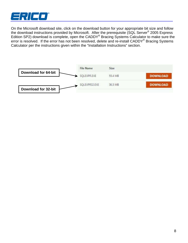

On the Microsoft download site, click on the download button for your appropriate bit size and follow the download instructions provided by Microsoft. After the prerequisite (SQL Server<sup>®</sup> 2005 Express Edition SP2) download is complete, open the CADDY® Bracing Systems Calculator to make sure the error is resolved. If the error has not been resolved, delete and re-install CADDY® Bracing Systems Calculator per the instructions given within the "Installation Instructions" section.

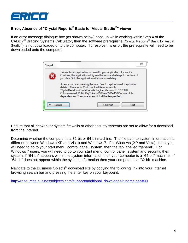

## **Error, Absence of "Crystal Reports® Basic for Visual Studio®" viewer**

If an error message dialogue box (as shown below) pops up while working within Step 4 of the CADDY® Bracing Systems Calculator, then the software prerequisite (Crystal Reports® Basic for Visual Studio<sup>®</sup>) is not downloaded onto the computer. To resolve this error, the prerequisite will need to be downloaded onto the computer.



Ensure that all network or system firewalls or other security systems are set to allow for a download from the Internet.

Determine whether the computer is a 32-bit or 64-bit machine. The file path to system information is different between Windows (XP and Vista) and Windows 7. For Windows (XP and Vista) users, you will need to go to your start menu, control panel, system, then the tab labelled "general". For Windows 7 users, you will need to go to your start menu, control panel, system and security, then system. If "64-bit" appears within the system information then your computer is a "64-bit" machine. If "64-bit" does not appear within the system information then your computer is a "32-bit" machine.

Navigate to the Business Objects<sup>®</sup> download site by copying the following link into your Internet browsing search bar and pressing the enter key on your keyboard.

http://resources.businessobjects.com/support/additional\_downloads/runtime.asp#09